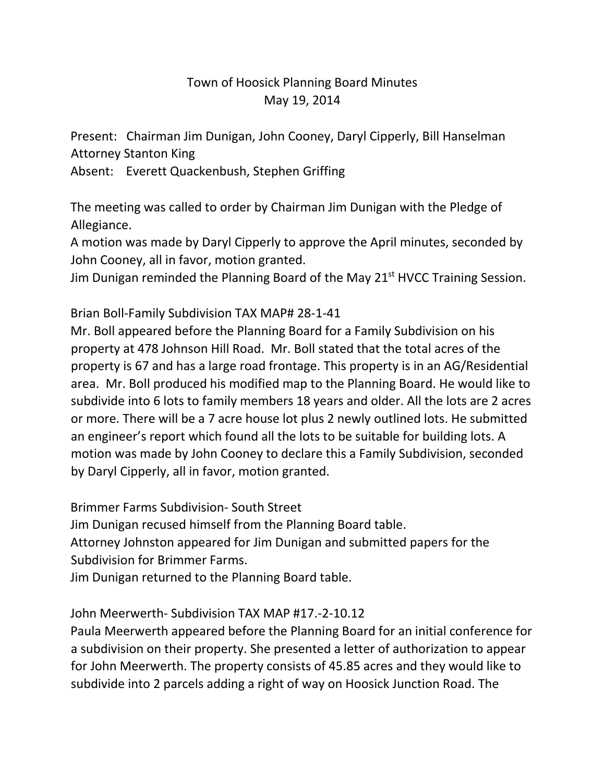## Town of Hoosick Planning Board Minutes May 19, 2014

Present: Chairman Jim Dunigan, John Cooney, Daryl Cipperly, Bill Hanselman Attorney Stanton King

Absent: Everett Quackenbush, Stephen Griffing

The meeting was called to order by Chairman Jim Dunigan with the Pledge of Allegiance.

A motion was made by Daryl Cipperly to approve the April minutes, seconded by John Cooney, all in favor, motion granted.

Jim Dunigan reminded the Planning Board of the May 21<sup>st</sup> HVCC Training Session.

Brian Boll-Family Subdivision TAX MAP# 28-1-41

Mr. Boll appeared before the Planning Board for a Family Subdivision on his property at 478 Johnson Hill Road. Mr. Boll stated that the total acres of the property is 67 and has a large road frontage. This property is in an AG/Residential area. Mr. Boll produced his modified map to the Planning Board. He would like to subdivide into 6 lots to family members 18 years and older. All the lots are 2 acres or more. There will be a 7 acre house lot plus 2 newly outlined lots. He submitted an engineer's report which found all the lots to be suitable for building lots. A motion was made by John Cooney to declare this a Family Subdivision, seconded by Daryl Cipperly, all in favor, motion granted.

Brimmer Farms Subdivision- South Street

Jim Dunigan recused himself from the Planning Board table.

Attorney Johnston appeared for Jim Dunigan and submitted papers for the Subdivision for Brimmer Farms.

Jim Dunigan returned to the Planning Board table.

## John Meerwerth- Subdivision TAX MAP #17.-2-10.12

Paula Meerwerth appeared before the Planning Board for an initial conference for a subdivision on their property. She presented a letter of authorization to appear for John Meerwerth. The property consists of 45.85 acres and they would like to subdivide into 2 parcels adding a right of way on Hoosick Junction Road. The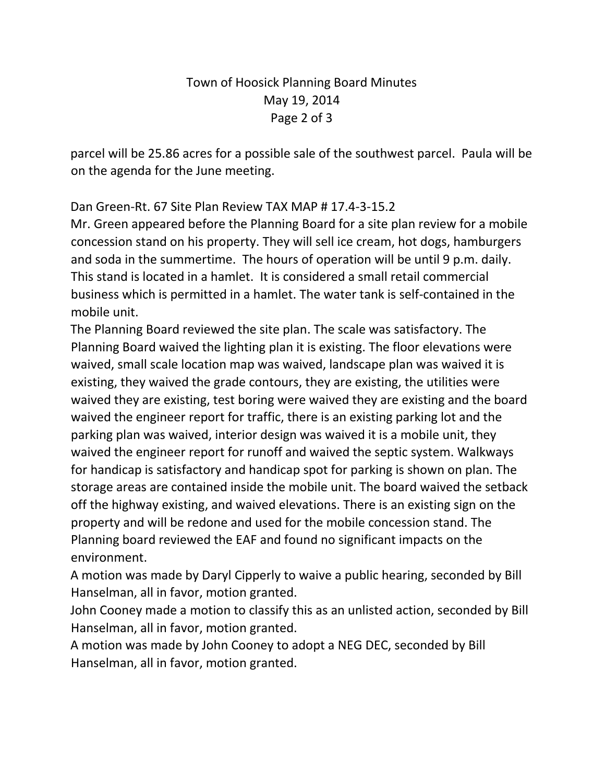## Town of Hoosick Planning Board Minutes May 19, 2014 Page 2 of 3

parcel will be 25.86 acres for a possible sale of the southwest parcel. Paula will be on the agenda for the June meeting.

Dan Green-Rt. 67 Site Plan Review TAX MAP # 17.4-3-15.2

Mr. Green appeared before the Planning Board for a site plan review for a mobile concession stand on his property. They will sell ice cream, hot dogs, hamburgers and soda in the summertime. The hours of operation will be until 9 p.m. daily. This stand is located in a hamlet. It is considered a small retail commercial business which is permitted in a hamlet. The water tank is self-contained in the mobile unit.

The Planning Board reviewed the site plan. The scale was satisfactory. The Planning Board waived the lighting plan it is existing. The floor elevations were waived, small scale location map was waived, landscape plan was waived it is existing, they waived the grade contours, they are existing, the utilities were waived they are existing, test boring were waived they are existing and the board waived the engineer report for traffic, there is an existing parking lot and the parking plan was waived, interior design was waived it is a mobile unit, they waived the engineer report for runoff and waived the septic system. Walkways for handicap is satisfactory and handicap spot for parking is shown on plan. The storage areas are contained inside the mobile unit. The board waived the setback off the highway existing, and waived elevations. There is an existing sign on the property and will be redone and used for the mobile concession stand. The Planning board reviewed the EAF and found no significant impacts on the environment.

A motion was made by Daryl Cipperly to waive a public hearing, seconded by Bill Hanselman, all in favor, motion granted.

John Cooney made a motion to classify this as an unlisted action, seconded by Bill Hanselman, all in favor, motion granted.

A motion was made by John Cooney to adopt a NEG DEC, seconded by Bill Hanselman, all in favor, motion granted.